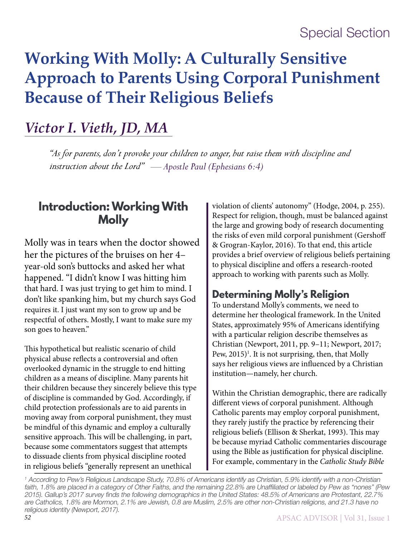# **Working With Molly: A Culturally Sensitive Approach to Parents Using Corporal Punishment Because of Their Religious Beliefs**

# *Victor I. Vieth, JD, MA*

*"As for parents, don't provoke your children to anger, but raise them with discipline and instruction about the Lord" — Apostle Paul (Ephesians 6:4)*

# **Introduction: Working With Molly**

Molly was in tears when the doctor showed her the pictures of the bruises on her 4– year-old son's buttocks and asked her what happened. "I didn't know I was hitting him that hard. I was just trying to get him to mind. I don't like spanking him, but my church says God requires it. I just want my son to grow up and be respectful of others. Mostly, I want to make sure my son goes to heaven."

This hypothetical but realistic scenario of child physical abuse reflects a controversial and often overlooked dynamic in the struggle to end hitting children as a means of discipline. Many parents hit their children because they sincerely believe this type of discipline is commanded by God. Accordingly, if child protection professionals are to aid parents in moving away from corporal punishment, they must be mindful of this dynamic and employ a culturally sensitive approach. This will be challenging, in part, because some commentators suggest that attempts to dissuade clients from physical discipline rooted in religious beliefs "generally represent an unethical

violation of clients' autonomy" (Hodge, 2004, p. 255). Respect for religion, though, must be balanced against the large and growing body of research documenting the risks of even mild corporal punishment (Gershoff & Grogran-Kaylor, 2016). To that end, this article provides a brief overview of religious beliefs pertaining to physical discipline and offers a research-rooted approach to working with parents such as Molly.

# **Determining Molly's Religion**

To understand Molly's comments, we need to determine her theological framework. In the United States, approximately 95% of Americans identifying with a particular religion describe themselves as Christian (Newport, 2011, pp. 9–11; Newport, 2017; Pew, 2015)<sup>1</sup>. It is not surprising, then, that Molly says her religious views are influenced by a Christian institution—namely, her church.

Within the Christian demographic, there are radically different views of corporal punishment. Although Catholic parents may employ corporal punishment, they rarely justify the practice by referencing their religious beliefs (Ellison & Sherkat, 1993). This may be because myriad Catholic commentaries discourage using the Bible as justification for physical discipline. For example, commentary in the *Catholic Study Bible* 

<sup>1</sup> According to Pew's Religious Landscape Study, 70.8% of Americans identify as Christian, 5.9% identify with a non-Christian faith, 1.8% are placed in a category of Other Faiths, and the remaining 22.8% are Unaffiliated or labeled by Pew as "nones" (Pew 2015). Gallup's 2017 survey finds the following demographics in the United States: 48.5% of Americans are Protestant, 22.7% are Catholics, 1.8% are Mormon, 2.1% are Jewish, 0.8 are Muslim, 2.5% are other non-Christian religions, and 21.3 have no religious identity (Newport, 2017).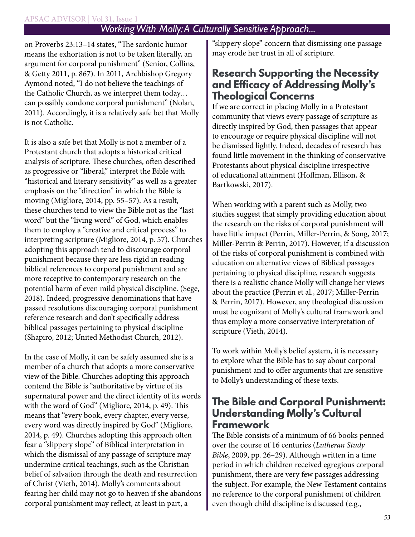#### APSAC ADVISOR | Vol 31, Issue 1

### *Working With Molly: A Culturally Sensitive Approach...*

on Proverbs 23:13–14 states, "The sardonic humor means the exhortation is not to be taken literally, an argument for corporal punishment" (Senior, Collins, & Getty 2011, p. 867). In 2011, Archbishop Gregory Aymond noted, "I do not believe the teachings of the Catholic Church, as we interpret them today… can possibly condone corporal punishment" (Nolan, 2011). Accordingly, it is a relatively safe bet that Molly is not Catholic.

It is also a safe bet that Molly is not a member of a Protestant church that adopts a historical critical analysis of scripture. These churches, often described as progressive or "liberal," interpret the Bible with "historical and literary sensitivity" as well as a greater emphasis on the "direction" in which the Bible is moving (Migliore, 2014, pp. 55–57). As a result, these churches tend to view the Bible not as the "last word" but the "living word" of God, which enables them to employ a "creative and critical process" to interpreting scripture (Migliore, 2014, p. 57). Churches adopting this approach tend to discourage corporal punishment because they are less rigid in reading biblical references to corporal punishment and are more receptive to contemporary research on the potential harm of even mild physical discipline. (Sege, 2018). Indeed, progressive denominations that have passed resolutions discouraging corporal punishment reference research and don't specifically address biblical passages pertaining to physical discipline (Shapiro, 2012; United Methodist Church, 2012).

In the case of Molly, it can be safely assumed she is a member of a church that adopts a more conservative view of the Bible. Churches adopting this approach contend the Bible is "authoritative by virtue of its supernatural power and the direct identity of its words with the word of God" (Migliore, 2014, p. 49). This means that "every book, every chapter, every verse, every word was directly inspired by God" (Migliore, 2014, p. 49). Churches adopting this approach often fear a "slippery slope" of Biblical interpretation in which the dismissal of any passage of scripture may undermine critical teachings, such as the Christian belief of salvation through the death and resurrection of Christ (Vieth, 2014). Molly's comments about fearing her child may not go to heaven if she abandons corporal punishment may reflect, at least in part, a

"slippery slope" concern that dismissing one passage may erode her trust in all of scripture.

## **Research Supporting the Necessity and Efficacy of Addressing Molly's Theological Concerns**

If we are correct in placing Molly in a Protestant community that views every passage of scripture as directly inspired by God, then passages that appear to encourage or require physical discipline will not be dismissed lightly. Indeed, decades of research has found little movement in the thinking of conservative Protestants about physical discipline irrespective of educational attainment (Hoffman, Ellison, & Bartkowski, 2017).

When working with a parent such as Molly, two studies suggest that simply providing education about the research on the risks of corporal punishment will have little impact (Perrin, Miller-Perrin, & Song, 2017; Miller-Perrin & Perrin, 2017). However, if a discussion of the risks of corporal punishment is combined with education on alternative views of Biblical passages pertaining to physical discipline, research suggests there is a realistic chance Molly will change her views about the practice (Perrin et al., 2017; Miller-Perrin & Perrin, 2017). However, any theological discussion must be cognizant of Molly's cultural framework and thus employ a more conservative interpretation of scripture (Vieth, 2014).

To work within Molly's belief system, it is necessary to explore what the Bible has to say about corporal punishment and to offer arguments that are sensitive to Molly's understanding of these texts.

## **The Bible and Corporal Punishment: Understanding Molly's Cultural Framework**

The Bible consists of a minimum of 66 books penned over the course of 16 centuries (*Lutheran Study Bible*, 2009, pp. 26–29). Although written in a time period in which children received egregious corporal punishment, there are very few passages addressing the subject. For example, the New Testament contains no reference to the corporal punishment of children even though child discipline is discussed (e.g.,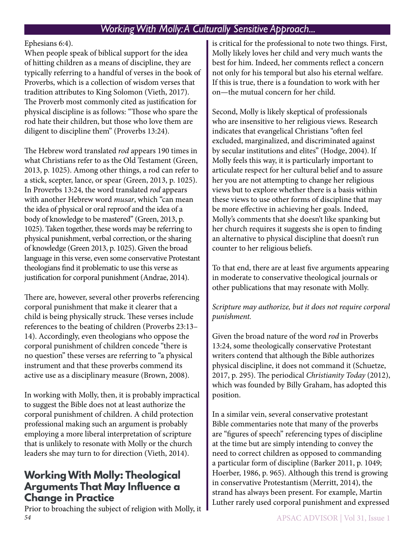## *Working With Molly: A Culturally Sensitive Approach...*

#### Ephesians 6:4).

When people speak of biblical support for the idea of hitting children as a means of discipline, they are typically referring to a handful of verses in the book of Proverbs, which is a collection of wisdom verses that tradition attributes to King Solomon (Vieth, 2017). The Proverb most commonly cited as justification for physical discipline is as follows: "Those who spare the rod hate their children, but those who love them are diligent to discipline them" (Proverbs 13:24).

The Hebrew word translated *rod* appears 190 times in what Christians refer to as the Old Testament (Green, 2013, p. 1025). Among other things, a rod can refer to a stick, scepter, lance, or spear (Green, 2013, p. 1025). In Proverbs 13:24, the word translated *rod* appears with another Hebrew word *musar*, which "can mean the idea of physical or oral reproof and the idea of a body of knowledge to be mastered" (Green, 2013, p. 1025). Taken together, these words may be referring to physical punishment, verbal correction, or the sharing of knowledge (Green 2013, p. 1025). Given the broad language in this verse, even some conservative Protestant theologians find it problematic to use this verse as justification for corporal punishment (Andrae, 2014).

There are, however, several other proverbs referencing corporal punishment that make it clearer that a child is being physically struck. These verses include references to the beating of children (Proverbs 23:13– 14). Accordingly, even theologians who oppose the corporal punishment of children concede "there is no question" these verses are referring to "a physical instrument and that these proverbs commend its active use as a disciplinary measure (Brown, 2008).

In working with Molly, then, it is probably impractical to suggest the Bible does not at least authorize the corporal punishment of children. A child protection professional making such an argument is probably employing a more liberal interpretation of scripture that is unlikely to resonate with Molly or the church leaders she may turn to for direction (Vieth, 2014).

## **Working With Molly: Theological Arguments That May Influence a Change in Practice**

*54* APSAC ADVISOR | Vol 31, Issue 1 Prior to broaching the subject of religion with Molly, it

is critical for the professional to note two things. First, Molly likely loves her child and very much wants the best for him. Indeed, her comments reflect a concern not only for his temporal but also his eternal welfare. If this is true, there is a foundation to work with her on—the mutual concern for her child.

Second, Molly is likely skeptical of professionals who are insensitive to her religious views. Research indicates that evangelical Christians "often feel excluded, marginalized, and discriminated against by secular institutions and elites" (Hodge, 2004). If Molly feels this way, it is particularly important to articulate respect for her cultural belief and to assure her you are not attempting to change her religious views but to explore whether there is a basis within these views to use other forms of discipline that may be more effective in achieving her goals. Indeed, Molly's comments that she doesn't like spanking but her church requires it suggests she is open to finding an alternative to physical discipline that doesn't run counter to her religious beliefs.

To that end, there are at least five arguments appearing in moderate to conservative theological journals or other publications that may resonate with Molly.

*Scripture may authorize, but it does not require corporal punishment.*

Given the broad nature of the word *rod* in Proverbs 13:24, some theologically conservative Protestant writers contend that although the Bible authorizes physical discipline, it does not command it (Schuetze, 2017, p. 295). The periodical *Christianity Today* (2012), which was founded by Billy Graham, has adopted this position.

In a similar vein, several conservative protestant Bible commentaries note that many of the proverbs are "figures of speech" referencing types of discipline at the time but are simply intending to convey the need to correct children as opposed to commanding a particular form of discipline (Barker 2011, p. 1049; Hoerber, 1986, p. 965). Although this trend is growing in conservative Protestantism (Merritt, 2014), the strand has always been present. For example, Martin Luther rarely used corporal punishment and expressed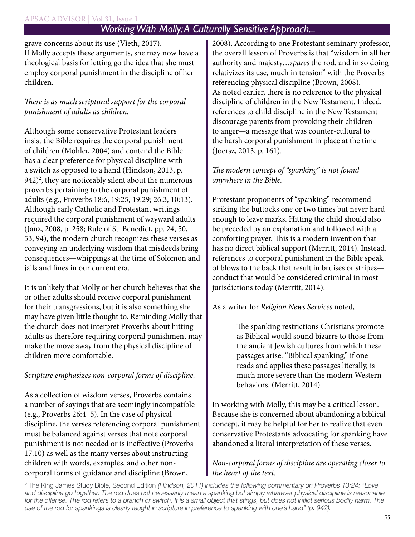#### APSAC ADVISOR | Vol 31, Issue 1

## *Working With Molly: A Culturally Sensitive Approach...*

grave concerns about its use (Vieth, 2017). If Molly accepts these arguments, she may now have a theological basis for letting go the idea that she must employ corporal punishment in the discipline of her children.

#### *There is as much scriptural support for the corporal punishment of adults as children.*

Although some conservative Protestant leaders insist the Bible requires the corporal punishment of children (Mohler, 2004) and contend the Bible has a clear preference for physical discipline with a switch as opposed to a hand (Hindson, 2013, p. 942)<sup>2</sup>, they are noticeably silent about the numerous proverbs pertaining to the corporal punishment of adults (e.g., Proverbs 18:6, 19:25, 19:29; 26:3, 10:13). Although early Catholic and Protestant writings required the corporal punishment of wayward adults (Janz, 2008, p. 258; Rule of St. Benedict, pp. 24, 50, 53, 94), the modern church recognizes these verses as conveying an underlying wisdom that misdeeds bring consequences—whippings at the time of Solomon and jails and fines in our current era.

It is unlikely that Molly or her church believes that she or other adults should receive corporal punishment for their transgressions, but it is also something she may have given little thought to. Reminding Molly that the church does not interpret Proverbs about hitting adults as therefore requiring corporal punishment may make the move away from the physical discipline of children more comfortable.

#### *Scripture emphasizes non-corporal forms of discipline.*

As a collection of wisdom verses, Proverbs contains a number of sayings that are seemingly incompatible (e.g., Proverbs 26:4–5). In the case of physical discipline, the verses referencing corporal punishment must be balanced against verses that note corporal punishment is not needed or is ineffective (Proverbs 17:10) as well as the many verses about instructing children with words, examples, and other noncorporal forms of guidance and discipline (Brown,

2008). According to one Protestant seminary professor, the overall lesson of Proverbs is that "wisdom in all her authority and majesty…*spares* the rod, and in so doing relativizes its use, much in tension" with the Proverbs referencing physical discipline (Brown, 2008). As noted earlier, there is no reference to the physical discipline of children in the New Testament. Indeed, references to child discipline in the New Testament discourage parents from provoking their children to anger—a message that was counter-cultural to the harsh corporal punishment in place at the time (Joersz, 2013, p. 161).

#### *The modern concept of "spanking" is not found anywhere in the Bible.*

Protestant proponents of "spanking" recommend striking the buttocks one or two times but never hard enough to leave marks. Hitting the child should also be preceded by an explanation and followed with a comforting prayer. This is a modern invention that has no direct biblical support (Merritt, 2014). Instead, references to corporal punishment in the Bible speak of blows to the back that result in bruises or stripes conduct that would be considered criminal in most jurisdictions today (Merritt, 2014).

As a writer for *Religion News Services* noted,

The spanking restrictions Christians promote as Biblical would sound bizarre to those from the ancient Jewish cultures from which these passages arise. "Biblical spanking," if one reads and applies these passages literally, is much more severe than the modern Western behaviors. (Merritt, 2014)

In working with Molly, this may be a critical lesson. Because she is concerned about abandoning a biblical concept, it may be helpful for her to realize that even conservative Protestants advocating for spanking have abandoned a literal interpretation of these verses.

#### *Non-corporal forms of discipline are operating closer to the heart of the text.*

<sup>2</sup> The King James Study Bible, Second Edition (Hindson, 2011) includes the following commentary on Proverbs 13:24: "Love and discipline go together. The rod does not necessarily mean a spanking but simply whatever physical discipline is reasonable for the offense. The rod refers to a branch or switch. It is a small object that stings, but does not inflict serious bodily harm. The use of the rod for spankings is clearly taught in scripture in preference to spanking with one's hand" (p. 942).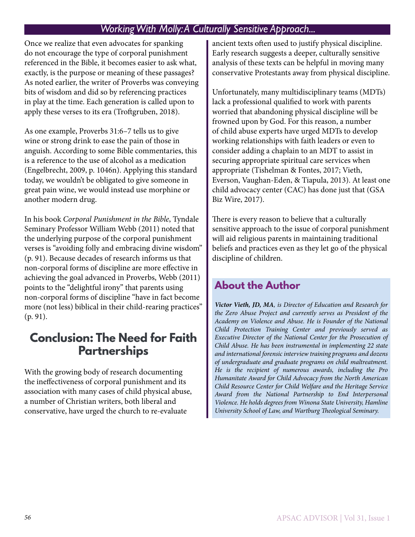### *Working With Molly: A Culturally Sensitive Approach...*

Once we realize that even advocates for spanking do not encourage the type of corporal punishment referenced in the Bible, it becomes easier to ask what, exactly, is the purpose or meaning of these passages? As noted earlier, the writer of Proverbs was conveying bits of wisdom and did so by referencing practices in play at the time. Each generation is called upon to apply these verses to its era (Troftgruben, 2018).

As one example, Proverbs 31:6–7 tells us to give wine or strong drink to ease the pain of those in anguish. According to some Bible commentaries, this is a reference to the use of alcohol as a medication (Engelbrecht, 2009, p. 1046n). Applying this standard today, we wouldn't be obligated to give someone in great pain wine, we would instead use morphine or another modern drug.

In his book *Corporal Punishment in the Bible*, Tyndale Seminary Professor William Webb (2011) noted that the underlying purpose of the corporal punishment verses is "avoiding folly and embracing divine wisdom" (p. 91). Because decades of research informs us that non-corporal forms of discipline are more effective in achieving the goal advanced in Proverbs, Webb (2011) points to the "delightful irony" that parents using non-corporal forms of discipline "have in fact become more (not less) biblical in their child-rearing practices" (p. 91).

# **Conclusion: The Need for Faith Partnerships**

With the growing body of research documenting the ineffectiveness of corporal punishment and its association with many cases of child physical abuse, a number of Christian writers, both liberal and conservative, have urged the church to re-evaluate

ancient texts often used to justify physical discipline. Early research suggests a deeper, culturally sensitive analysis of these texts can be helpful in moving many conservative Protestants away from physical discipline.

Unfortunately, many multidisciplinary teams (MDTs) lack a professional qualified to work with parents worried that abandoning physical discipline will be frowned upon by God. For this reason, a number of child abuse experts have urged MDTs to develop working relationships with faith leaders or even to consider adding a chaplain to an MDT to assist in securing appropriate spiritual care services when appropriate (Tishelman & Fontes, 2017; Vieth, Everson, Vaughan-Eden, & Tiapula, 2013). At least one child advocacy center (CAC) has done just that (GSA Biz Wire, 2017).

There is every reason to believe that a culturally sensitive approach to the issue of corporal punishment will aid religious parents in maintaining traditional beliefs and practices even as they let go of the physical discipline of children.

## **About the Author**

*Victor Vieth, JD, MA, is Director of Education and Research for the Zero Abuse Project and currently serves as President of the Academy on Violence and Abuse. He is Founder of the National Child Protection Training Center and previously served as Executive Director of the National Center for the Prosecution of Child Abuse. He has been instrumental in implementing 22 state and international forensic interview training programs and dozens of undergraduate and graduate programs on child maltreatment. He is the recipient of numerous awards, including the Pro Humanitate Award for Child Advocacy from the North American Child Resource Center for Child Welfare and the Heritage Service Award from the National Partnership to End Interpersonal Violence. He holds degrees from Winona State University, Hamline University School of Law, and Wartburg Theological Seminary.*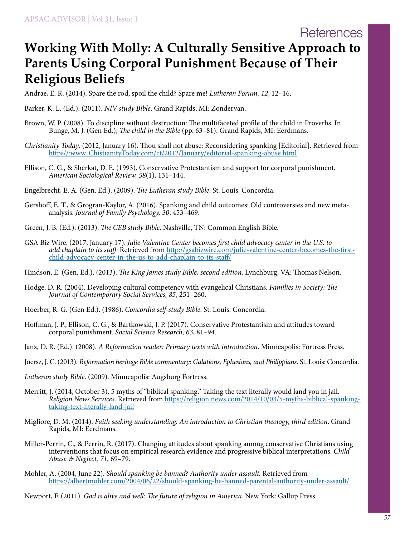# **Working With Molly: A Culturally Sensitive Approach to Parents Using Corporal Punishment Because of Their Religious Beliefs**

Andrae, E. R. (2014). Spare the rod, spoil the child? Spare me! *Lutheran Forum, 12*, 12–16.

Barker, K. L. (Ed.). (2011). *NIV study Bible*. Grand Rapids, MI: Zondervan.

- Brown, W. P. (2008). To discipline without destruction: The multifaceted profile of the child in Proverbs. In Bunge, M. J. (Gen Ed.), *The child in the Bible* (pp. 63–81). Grand Rapids, MI: Eerdmans.
- *Christianity Today*. (2012, January 16). Thou shall not abuse: Reconsidering spanking [Editorial]. Retrieved from [https//:www. ChistianityToday.com/ct/2012/January/editorial-spanking-abuse.html](http://https//:www. ChistianityToday.com/ct/2012/January/editorial-spanking-abuse.html )
- Ellison, C. G., & Sherkat, D. E. (1993). Conservative Protestantism and support for corporal punishment. *American Sociological Review, 58*(1), 131–144.
- Engelbrecht, E. A. (Gen. Ed.). (2009). *The Lutheran study Bible*. St. Louis: Concordia.
- Gershoff, E. T., & Grogran-Kaylor, A. (2016). Spanking and child outcomes: Old controversies and new metaanalysis. *Journal of Family Psychology, 30*, 453–469.
- Green, J. B. (Ed.). (2013). *The CEB study Bible*. Nashville, TN: Common English Bible.
- GSA Biz Wire. (2017, January 17). *Julie Valentine Center becomes first child advocacy center in the U.S. to add chaplain to its staff*. Retrieved from [http://gsabizwire.com/julie-valentine-center-becomes-the-first](http://gsabizwire.com/julie-valentine-center-becomes-the-first- child-advocacy-center-in-the-us-to-add-chaplain-to-its-staff/)[child-advocacy-center-in-the-us-to-add-chaplain-to-its-staff/](http://gsabizwire.com/julie-valentine-center-becomes-the-first- child-advocacy-center-in-the-us-to-add-chaplain-to-its-staff/)
- Hindson, E. (Gen. Ed.). (2013). *The King James study Bible, second edition*. Lynchburg, VA: Thomas Nelson.
- Hodge, D. R. (2004). Developing cultural competency with evangelical Christians. *Families in Society: The Journal of Contemporary Social Services, 85*, 251–260.
- Hoerber, R. G. (Gen Ed.). (1986). *Concordia self-study Bible*. St. Louis: Concordia.
- Hoffman, J. P., Ellison, C. G., & Bartkowski, J. P. (2017). Conservative Protestantism and attitudes toward corporal punishment. *Social Science Research, 63*, 81–94.
- Janz, D. R. (Ed.). (2008). *A Reformation reader: Primary texts with introduction*. Minneapolis: Fortress Press.
- Joersz, J. C. (2013). *Reformation heritage Bible commentary: Galations, Ephesians, and Philippians*. St. Louis: Concordia.
- *Lutheran study Bible*. (2009). Minneapolis: Augsburg Fortress.
- Merritt, J. (2014, October 3). 5 myths of "biblical spanking." Taking the text literally would land you in jail. *Religion News Services*. Retrieved from [https://religion news.com/2014/10/03/5-myths-biblical-spanking](https://religion news.com/2014/10/03/5-myths-biblical-spanking- taking-text-literally-land-jail)[taking-text-literally-land-jail](https://religion news.com/2014/10/03/5-myths-biblical-spanking- taking-text-literally-land-jail)
- Migliore, D. M. (2014). *Faith seeking understanding: An introduction to Christian theology, third edition*. Grand Rapids, MI: Eerdmans.
- Miller-Perrin, C., & Perrin, R. (2017). Changing attitudes about spanking among conservative Christians using interventions that focus on empirical research evidence and progressive biblical interpretations. *Child Abuse & Neglect, 71*, 69–79.
- Mohler, A. (2004, June 22). *Should spanking be banned? Authority under assault.* Retrieved from [https://albertmohler.com/2004/06/22/should-spanking-be-banned-parental-authority-under-assault/](https://albertmohler.com/2004/06/22/should-spanking-be-banned-parental-authority-under-assault/ )
- Newport, F. (2011). *God is alive and well: The future of religion in America*. New York: Gallup Press.